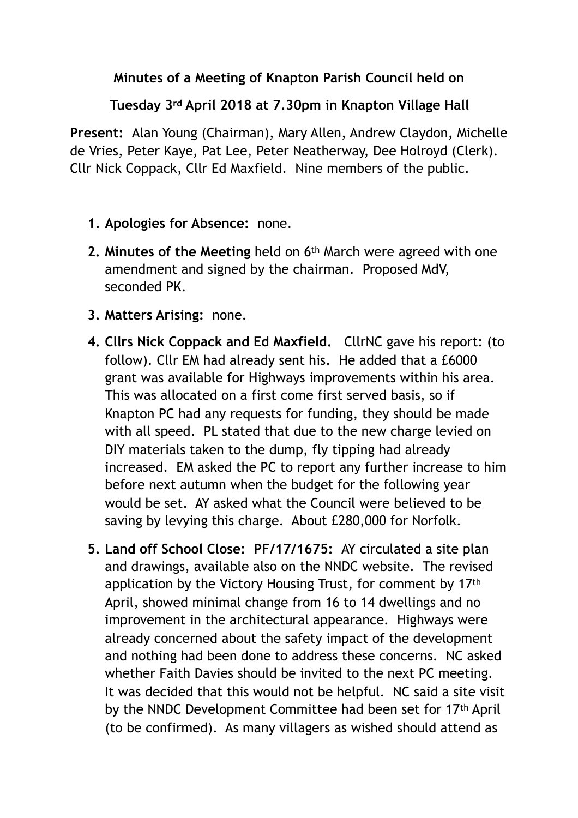## **Minutes of a Meeting of Knapton Parish Council held on**

## **Tuesday 3rd April 2018 at 7.30pm in Knapton Village Hall**

**Present:** Alan Young (Chairman), Mary Allen, Andrew Claydon, Michelle de Vries, Peter Kaye, Pat Lee, Peter Neatherway, Dee Holroyd (Clerk). Cllr Nick Coppack, Cllr Ed Maxfield. Nine members of the public.

- **1. Apologies for Absence:** none.
- **2. Minutes of the Meeting** held on 6th March were agreed with one amendment and signed by the chairman. Proposed MdV, seconded PK.
- **3. Matters Arising:** none.
- **4. Cllrs Nick Coppack and Ed Maxfield.** CllrNC gave his report: (to follow). Cllr EM had already sent his. He added that a £6000 grant was available for Highways improvements within his area. This was allocated on a first come first served basis, so if Knapton PC had any requests for funding, they should be made with all speed. PL stated that due to the new charge levied on DIY materials taken to the dump, fly tipping had already increased.EM asked the PC to report any further increase to him before next autumn when the budget for the following year would be set. AY asked what the Council were believed to be saving by levying this charge. About £280,000 for Norfolk.
- **5. Land off School Close: PF/17/1675:** AY circulated a site plan and drawings, available also on the NNDC website. The revised application by the Victory Housing Trust, for comment by 17th April, showed minimal change from 16 to 14 dwellings and no improvement in the architectural appearance. Highways were already concerned about the safety impact of the development and nothing had been done to address these concerns. NC asked whether Faith Davies should be invited to the next PC meeting. It was decided that this would not be helpful. NC said a site visit by the NNDC Development Committee had been set for 17th April (to be confirmed). As many villagers as wished should attend as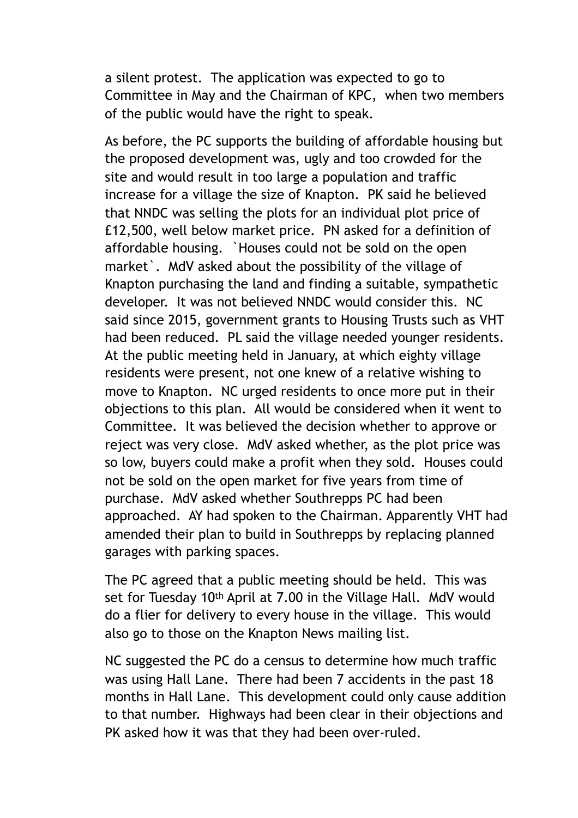a silent protest. The application was expected to go to Committee in May and the Chairman of KPC, when two members of the public would have the right to speak.

As before, the PC supports the building of affordable housing but the proposed development was, ugly and too crowded for the site and would result in too large a population and traffic increase for a village the size of Knapton. PK said he believed that NNDC was selling the plots for an individual plot price of £12,500, well below market price. PN asked for a definition of affordable housing. `Houses could not be sold on the open market`. MdV asked about the possibility of the village of Knapton purchasing the land and finding a suitable, sympathetic developer. It was not believed NNDC would consider this. NC said since 2015, government grants to Housing Trusts such as VHT had been reduced. PL said the village needed younger residents. At the public meeting held in January, at which eighty village residents were present, not one knew of a relative wishing to move to Knapton. NC urged residents to once more put in their objections to this plan. All would be considered when it went to Committee. It was believed the decision whether to approve or reject was very close. MdV asked whether, as the plot price was so low, buyers could make a profit when they sold. Houses could not be sold on the open market for five years from time of purchase. MdV asked whether Southrepps PC had been approached. AY had spoken to the Chairman. Apparently VHT had amended their plan to build in Southrepps by replacing planned garages with parking spaces.

The PC agreed that a public meeting should be held. This was set for Tuesday 10th April at 7.00 in the Village Hall. MdV would do a flier for delivery to every house in the village. This would also go to those on the Knapton News mailing list.

NC suggested the PC do a census to determine how much traffic was using Hall Lane. There had been 7 accidents in the past 18 months in Hall Lane. This development could only cause addition to that number. Highways had been clear in their objections and PK asked how it was that they had been over-ruled.